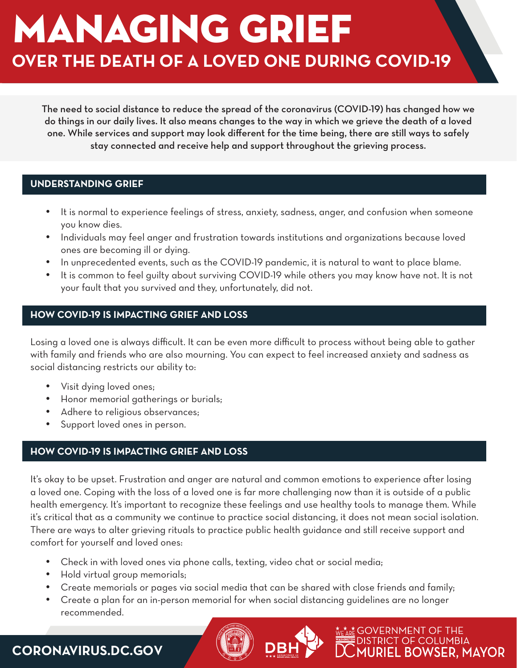# **OVER THE DEATH OF A LOVED ONE DURING COVID-19** MANAGING GRIEF

The need to social distance to reduce the spread of the coronavirus (COVID-19) has changed how we do things in our daily lives. It also means changes to the way in which we grieve the death of a loved one. While services and support may look different for the time being, there are still ways to safely stay connected and receive help and support throughout the grieving process.

## **UNDERSTANDING GRIEF**

- It is normal to experience feelings of stress, anxiety, sadness, anger, and confusion when someone you know dies.
- • Individuals may feel anger and frustration towards institutions and organizations because loved ones are becoming ill or dying.
- In unprecedented events, such as the COVID-19 pandemic, it is natural to want to place blame.
- It is common to feel quilty about surviving COVID-19 while others you may know have not. It is not your fault that you survived and they, unfortunately, did not.

# **HOW COVID-19 IS IMPACTING GRIEF AND LOSS**

Losing a loved one is always difficult. It can be even more difficult to process without being able to gather with family and friends who are also mourning. You can expect to feel increased anxiety and sadness as social distancing restricts our ability to:

- Visit dying loved ones:
- Honor memorial gatherings or burials;
- Adhere to religious observances;
- • Support loved ones in person.

# **HOW COVID-19 IS IMPACTING GRIEF AND LOSS**

It's okay to be upset. Frustration and anger are natural and common emotions to experience after losing a loved one. Coping with the loss of a loved one is far more challenging now than it is outside of a public health emergency. It's important to recognize these feelings and use healthy tools to manage them. While it's critical that as a community we continue to practice social distancing, it does not mean social isolation. There are ways to alter grieving rituals to practice public health guidance and still receive support and comfort for yourself and loved ones:

- • Check in with loved ones via phone calls, texting, video chat or social media;
- Hold virtual group memorials;
- • Create memorials or pages via social media that can be shared with close friends and family;
- Create a plan for an in-person memorial for when social distancing guidelines are no longer recommended.

ARE GOVERNMENT OF THE **DISTRICT OF COLUMBIA** 

**MURIEL BOWSER, MAYOR** 

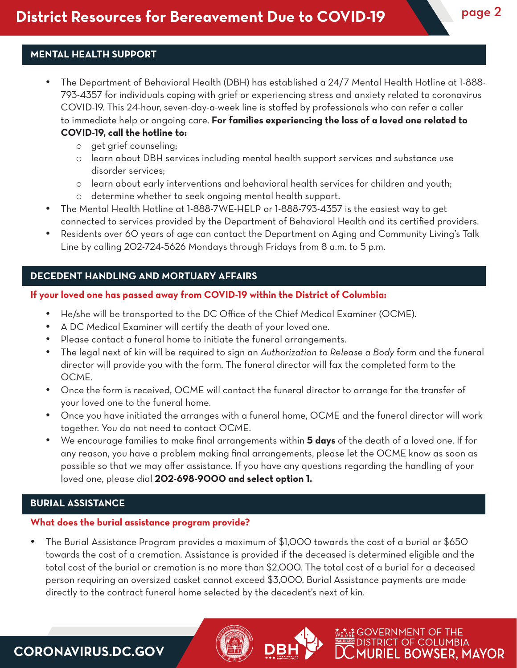# **MENTAL HEALTH SUPPORT**

- The Department of Behavioral Health (DBH) has established a 24/7 Mental Health Hotline at 1-888-793-4357 for individuals coping with grief or experiencing stress and anxiety related to coronavirus COVID-19. This 24-hour, seven-day-a-week line is staffed by professionals who can refer a caller to immediate help or ongoing care. **For families experiencing the loss of a loved one related to COVID-19, call the hotline to:**
	- o get grief counseling;
	- o learn about DBH services including mental health support services and substance use disorder services;
	- o learn about early interventions and behavioral health services for children and youth;
	- o determine whether to seek ongoing mental health support.
- The Mental Health Hotline at 1-888-7WE-HELP or 1-888-793-4357 is the easiest way to get connected to services provided by the Department of Behavioral Health and its certified providers.
- Residents over 60 years of age can contact the Department on Aging and Community Living's Talk Line by calling 202-724-5626 Mondays through Fridays from 8 a.m. to 5 p.m.

#### **DECEDENT HANDLING AND MORTUARY AFFAIRS**

#### **If your loved one has passed away from COVID-19 within the District of Columbia:**

- He/she will be transported to the DC Office of the Chief Medical Examiner (OCME).
- • A DC Medical Examiner will certify the death of your loved one.
- Please contact a funeral home to initiate the funeral arrangements.
- The legal next of kin will be required to sign an *Authorization to Release* a Body form and the funeral director will provide you with the form. The funeral director will fax the completed form to the OCME.
- Once the form is received, OCME will contact the funeral director to arrange for the transfer of your loved one to the funeral home.
- • Once you have initiated the arranges with a funeral home, OCME and the funeral director will work together. You do not need to contact OCME.
- • We encourage families to make final arrangements within **5 days** of the death of a loved one. If for any reason, you have a problem making final arrangements, please let the OCME know as soon as possible so that we may offer assistance. If you have any questions regarding the handling of your loved one, please dial **202-698-9000 and select option 1.**

#### **BURIAL ASSISTANCE**

## **What does the burial assistance program provide?**

The Burial Assistance Program provides a maximum of \$1,000 towards the cost of a burial or \$650 towards the cost of a cremation. Assistance is provided if the deceased is determined eligible and the total cost of the burial or cremation is no more than \$2,000. The total cost of a burial for a deceased person requiring an oversized casket cannot exceed \$3,000. Burial Assistance payments are made directly to the contract funeral home selected by the decedent's next of kin.

> ᡣᡮᡢ**ᡷ** GOVERNMENT OF THE **DISTRICT OF COLUMBIA**

> > 1URIEL BOWSER. MAYOR

**CORONAVIRUS.DC.GOV**